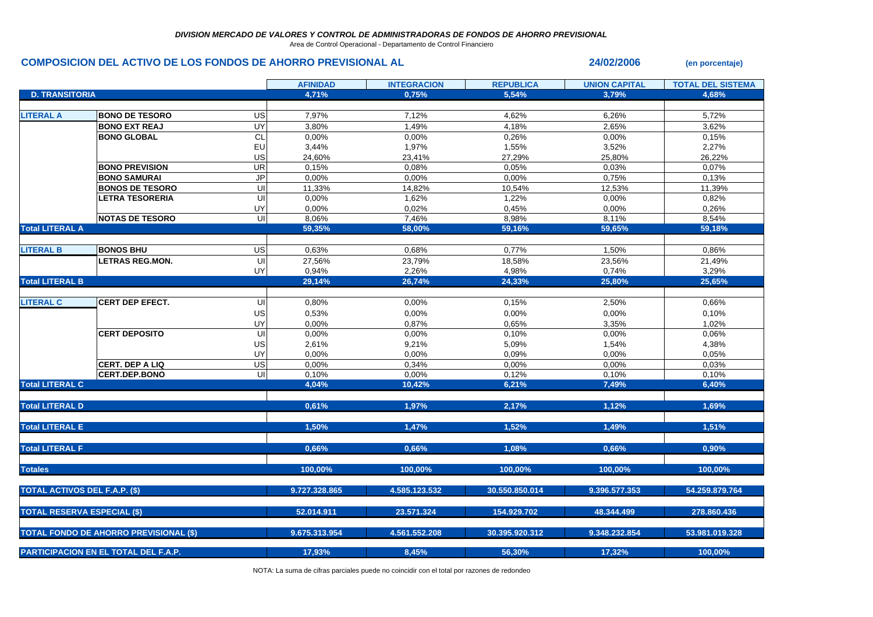Area de Control Operacional - Departamento de Control Financiero

## **COMPOSICION DEL ACTIVO DE LOS FONDOS DE AHORRO PREVISIONAL AL 24/02/2006** (en porcentaje)

|                                      |                                               |                         | <b>AFINIDAD</b> | <b>INTEGRACION</b> | <b>REPUBLICA</b> | <b>UNION CAPITAL</b> | <b>TOTAL DEL SISTEMA</b> |
|--------------------------------------|-----------------------------------------------|-------------------------|-----------------|--------------------|------------------|----------------------|--------------------------|
| <b>D. TRANSITORIA</b>                |                                               |                         | 4,71%           | 0,75%              | 5,54%            | 3,79%                | 4,68%                    |
|                                      |                                               |                         |                 |                    |                  |                      |                          |
| <b>LITERAL A</b>                     | <b>BONO DE TESORO</b>                         | <b>US</b>               | 7,97%           | 7,12%              | 4,62%            | 6,26%                | 5,72%                    |
|                                      | <b>BONO EXT REAJ</b>                          | UY                      | 3,80%           | 1,49%              | 4,18%            | 2,65%                | 3,62%                    |
|                                      | <b>BONO GLOBAL</b>                            | <b>CL</b>               | 0,00%           | 0,00%              | 0,26%            | 0,00%                | 0,15%                    |
|                                      |                                               | EU                      | 3,44%           | 1,97%              | 1,55%            | 3,52%                | 2,27%                    |
|                                      |                                               | US                      | 24,60%          | 23,41%             | 27,29%           | 25,80%               | 26,22%                   |
|                                      | <b>BONO PREVISION</b>                         | <b>UR</b>               | 0,15%           | 0,08%              | 0,05%            | 0.03%                | 0,07%                    |
|                                      | <b>BONO SAMURAI</b>                           | <b>JP</b>               | 0,00%           | 0,00%              | 0,00%            | 0,75%                | 0,13%                    |
|                                      | <b>BONOS DE TESORO</b>                        | UI                      | 11,33%          | 14,82%             | 10,54%           | 12,53%               | 11,39%                   |
|                                      | <b>LETRA TESORERIA</b>                        | UI                      | 0,00%           | 1,62%              | 1,22%            | 0,00%                | 0,82%                    |
|                                      |                                               | UY                      | 0,00%           | 0,02%              | 0,45%            | 0,00%                | 0,26%                    |
|                                      | <b>NOTAS DE TESORO</b>                        | UI                      | 8,06%           | 7,46%              | 8,98%            | 8,11%                | 8,54%                    |
| <b>Total LITERAL A</b>               |                                               |                         | 59,35%          | 58,00%             | 59,16%           | 59,65%               | 59,18%                   |
|                                      |                                               |                         |                 |                    |                  |                      |                          |
| <b>LITERAL B</b>                     | <b>BONOS BHU</b>                              | US                      | 0,63%           | 0,68%              | 0,77%            | 1,50%                | 0,86%                    |
|                                      | <b>LETRAS REG.MON.</b>                        | UI                      | 27,56%          | 23,79%             | 18,58%           | 23,56%               | 21,49%                   |
|                                      |                                               | UY                      | 0,94%           | 2,26%              | 4,98%            | 0,74%                | 3,29%                    |
| <b>Total LITERAL B</b>               |                                               |                         | 29,14%          | 26,74%             | 24,33%           | 25,80%               | 25,65%                   |
|                                      |                                               |                         |                 |                    |                  |                      |                          |
| <b>LITERAL C</b>                     | <b>CERT DEP EFECT.</b>                        | UI                      | 0,80%           | 0,00%              | 0,15%            | 2,50%                | 0,66%                    |
|                                      |                                               | US                      | 0,53%           | 0,00%              | 0,00%            | 0,00%                | 0,10%                    |
|                                      |                                               | UY                      | 0,00%           | 0,87%              | 0,65%            | 3,35%                | 1,02%                    |
|                                      | <b>CERT DEPOSITO</b>                          | UI                      | 0,00%           | 0,00%              | 0,10%            | 0,00%                | 0,06%                    |
|                                      |                                               | US                      | 2,61%           | 9,21%              | 5,09%            | 1,54%                | 4,38%                    |
|                                      |                                               | UY                      | 0,00%           | 0,00%              | 0,09%            | 0,00%                | 0.05%                    |
|                                      | CERT. DEP A LIQ                               | US                      | 0,00%           | 0,34%              | 0,00%            | 0,00%                | 0,03%                    |
|                                      | CERT.DEP.BONO                                 | $\overline{\mathsf{U}}$ | 0,10%           | 0,00%              | 0,12%            | 0,10%                | 0,10%                    |
| <b>Total LITERAL C</b>               |                                               |                         | 4,04%           | 10,42%             | 6,21%            | 7,49%                | 6,40%                    |
|                                      |                                               |                         |                 |                    |                  |                      |                          |
| <b>Total LITERAL D</b>               |                                               |                         | 0.61%           | 1,97%              | 2,17%            | 1.12%                | 1.69%                    |
|                                      |                                               |                         |                 |                    |                  |                      |                          |
| <b>Total LITERAL E</b>               |                                               |                         | 1,50%           | 1,47%              | 1,52%            | 1,49%                | 1,51%                    |
|                                      |                                               |                         |                 |                    |                  |                      |                          |
| <b>Total LITERAL F</b>               |                                               |                         | 0,66%           | 0,66%              | 1,08%            | 0,66%                | 0,90%                    |
|                                      |                                               |                         |                 |                    |                  |                      |                          |
| <b>Totales</b>                       |                                               |                         | 100,00%         | 100,00%            | 100,00%          | 100,00%              | 100,00%                  |
|                                      |                                               |                         |                 |                    |                  |                      |                          |
|                                      | <b>TOTAL ACTIVOS DEL F.A.P. (\$)</b>          |                         | 9.727.328.865   | 4.585.123.532      | 30.550.850.014   | 9.396.577.353        | 54.259.879.764           |
|                                      |                                               |                         |                 |                    |                  |                      |                          |
|                                      | <b>TOTAL RESERVA ESPECIAL (\$)</b>            |                         | 52.014.911      | 23.571.324         | 154.929.702      | 48.344.499           | 278.860.436              |
|                                      |                                               |                         |                 |                    |                  |                      |                          |
|                                      | <b>TOTAL FONDO DE AHORRO PREVISIONAL (\$)</b> |                         | 9.675.313.954   | 4.561.552.208      | 30.395.920.312   | 9.348.232.854        | 53.981.019.328           |
|                                      |                                               |                         | 17,93%          | 8,45%              | 56,30%           | 17,32%               | 100,00%                  |
| PARTICIPACION EN EL TOTAL DEL F.A.P. |                                               |                         |                 |                    |                  |                      |                          |

NOTA: La suma de cifras parciales puede no coincidir con el total por razones de redondeo